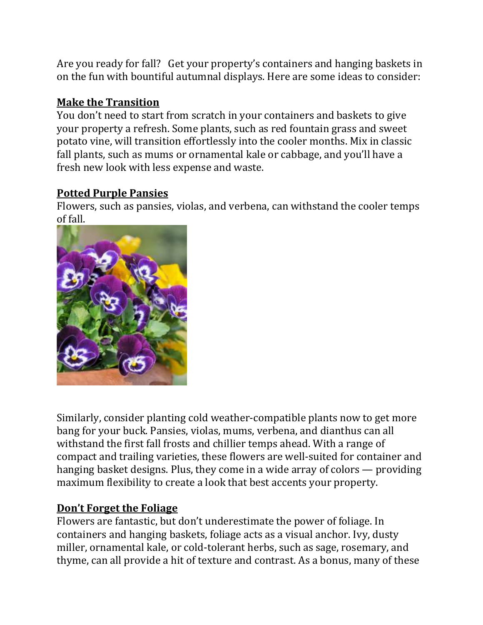Are you ready for fall? Get your property's containers and hanging baskets in on the fun with bountiful autumnal displays. Here are some ideas to consider:

## Make the Transition

You don't need to start from scratch in your containers and baskets to give your property a refresh. Some plants, such as red fountain grass and sweet potato vine, will transition effortlessly into the cooler months. Mix in classic fall plants, such as mums or ornamental kale or cabbage, and you'll have a fresh new look with less expense and waste.

## Potted Purple Pansies

Flowers, such as pansies, violas, and verbena, can withstand the cooler temps of fall.



Similarly, consider planting cold weather-compatible plants now to get more bang for your buck. Pansies, violas, mums, verbena, and dianthus can all withstand the first fall frosts and chillier temps ahead. With a range of compact and trailing varieties, these flowers are well-suited for container and hanging basket designs. Plus, they come in a wide array of colors — providing maximum flexibility to create a look that best accents your property.

## Don't Forget the Foliage

Flowers are fantastic, but don't underestimate the power of foliage. In containers and hanging baskets, foliage acts as a visual anchor. Ivy, dusty miller, ornamental kale, or cold-tolerant herbs, such as sage, rosemary, and thyme, can all provide a hit of texture and contrast. As a bonus, many of these